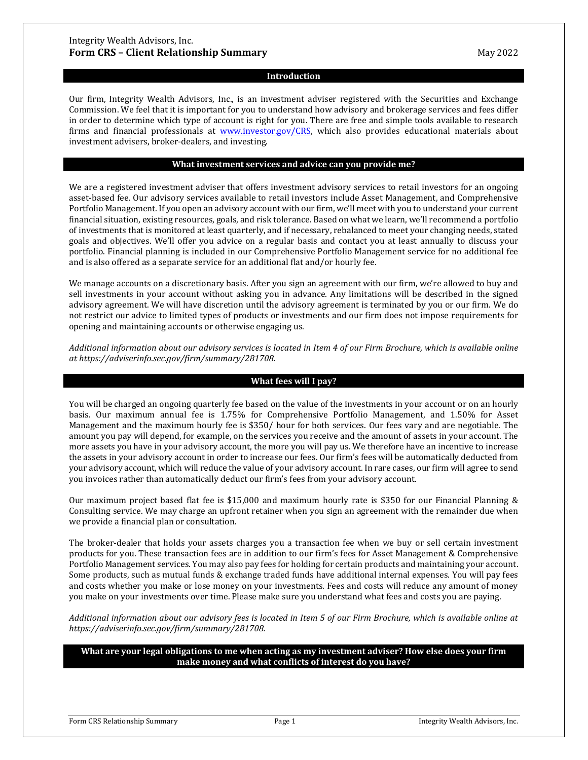### **Introduction**

Our firm, Integrity Wealth Advisors, Inc., is an investment adviser registered with the Securities and Exchange Commission. We feel that it is important for you to understand how advisory and brokerage services and fees differ in order to determine which type of account is right for you. There are free and simple tools available to research firms and financial professionals at [www.investor.gov/CRS,](http://www.investor.gov/CRS) which also provides educational materials about investment advisers, broker-dealers, and investing.

#### **What investment services and advice can you provide me?**

We are a registered investment adviser that offers investment advisory services to retail investors for an ongoing asset-based fee. Our advisory services available to retail investors include Asset Management, and Comprehensive Portfolio Management. If you open an advisory account with our firm, we'll meet with you to understand your current financial situation, existing resources, goals, and risk tolerance. Based on what we learn, we'll recommend a portfolio of investments that is monitored at least quarterly, and if necessary, rebalanced to meet your changing needs, stated goals and objectives. We'll offer you advice on a regular basis and contact you at least annually to discuss your portfolio. Financial planning is included in our Comprehensive Portfolio Management service for no additional fee and is also offered as a separate service for an additional flat and/or hourly fee.

We manage accounts on a discretionary basis. After you sign an agreement with our firm, we're allowed to buy and sell investments in your account without asking you in advance. Any limitations will be described in the signed advisory agreement. We will have discretion until the advisory agreement is terminated by you or our firm. We do not restrict our advice to limited types of products or investments and our firm does not impose requirements for opening and maintaining accounts or otherwise engaging us.

*Additional information about our advisory services is located in Item 4 of our Firm Brochure, which is available online at https://adviserinfo.sec.gov/firm/summary/281708.*

#### **What fees will I pay?**

You will be charged an ongoing quarterly fee based on the value of the investments in your account or on an hourly basis. Our maximum annual fee is 1.75% for Comprehensive Portfolio Management, and 1.50% for Asset Management and the maximum hourly fee is \$350/ hour for both services. Our fees vary and are negotiable. The amount you pay will depend, for example, on the services you receive and the amount of assets in your account. The more assets you have in your advisory account, the more you will pay us. We therefore have an incentive to increase the assets in your advisory account in order to increase our fees. Our firm's fees will be automatically deducted from your advisory account, which will reduce the value of your advisory account. In rare cases, our firm will agree to send you invoices rather than automatically deduct our firm's fees from your advisory account.

Our maximum project based flat fee is \$15,000 and maximum hourly rate is \$350 for our Financial Planning & Consulting service. We may charge an upfront retainer when you sign an agreement with the remainder due when we provide a financial plan or consultation.

The broker-dealer that holds your assets charges you a transaction fee when we buy or sell certain investment products for you. These transaction fees are in addition to our firm's fees for Asset Management & Comprehensive Portfolio Management services. You may also pay fees for holding for certain products and maintaining your account. Some products, such as mutual funds & exchange traded funds have additional internal expenses. You will pay fees and costs whether you make or lose money on your investments. Fees and costs will reduce any amount of money you make on your investments over time. Please make sure you understand what fees and costs you are paying.

*Additional information about our advisory fees is located in Item 5 of our Firm Brochure, which is available online at https://adviserinfo.sec.gov/firm/summary/281708.*

**What are your legal obligations to me when acting as my investment adviser? How else does your firm make money and what conflicts of interest do you have?**